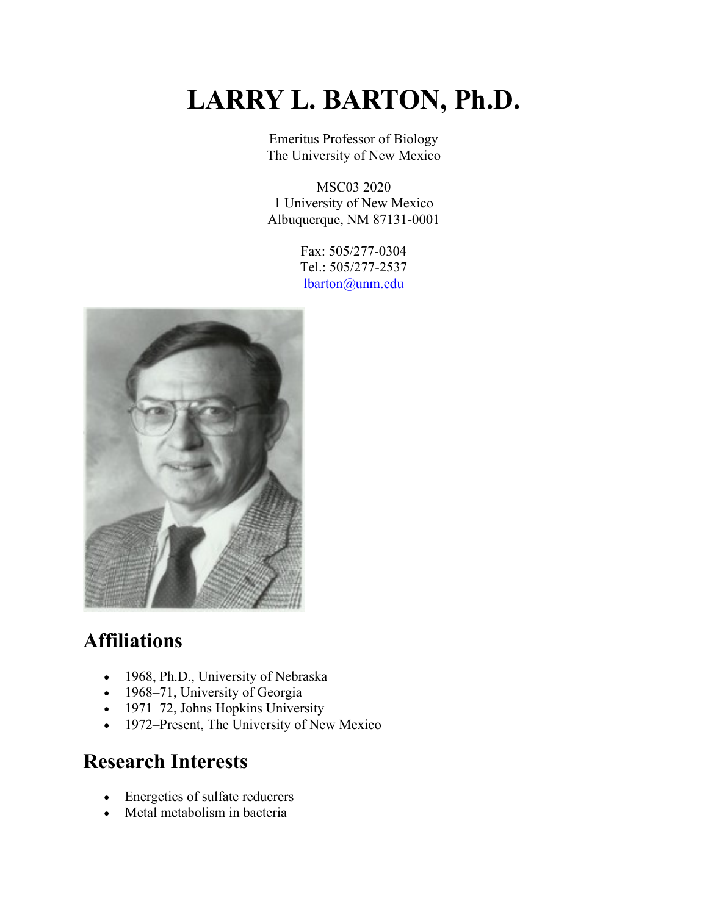# **LARRY L. BARTON, Ph.D.**

Emeritus Professor of Biology The University of New Mexico

MSC03 2020 1 University of New Mexico Albuquerque, NM 87131-0001

> Fax: 505/277-0304 Tel.: 505/277-2537 lbarton@unm.edu



## **Affiliations**

- 1968, Ph.D., University of Nebraska
- 1968–71, University of Georgia
- 1971–72, Johns Hopkins University
- 1972–Present, The University of New Mexico

#### **Research Interests**

- Energetics of sulfate reducrers
- Metal metabolism in bacteria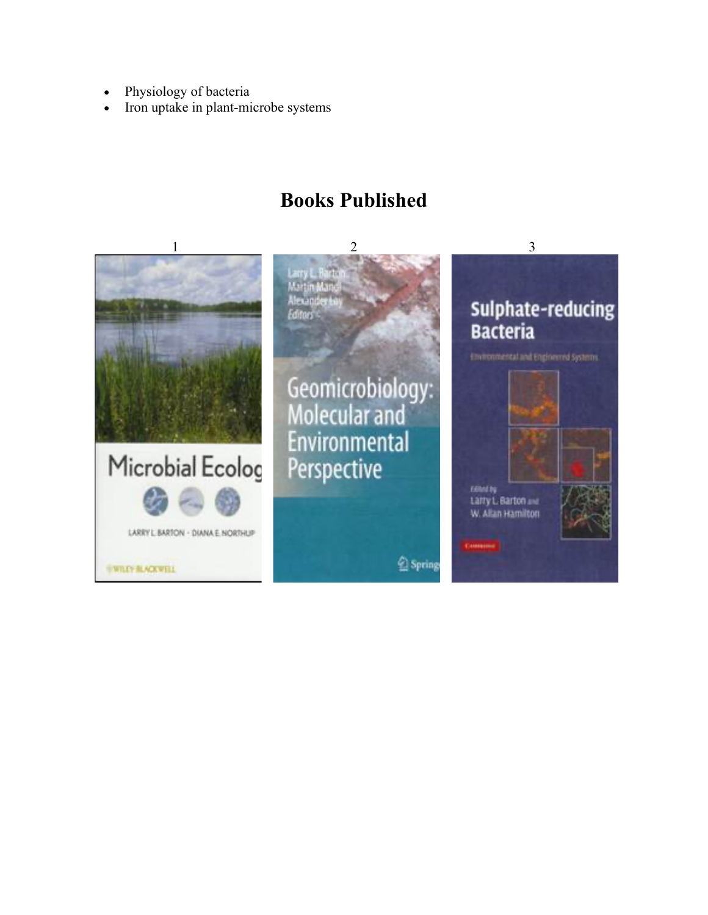- Physiology of bacteria
- Iron uptake in plant-microbe systems

#### **Books Published**

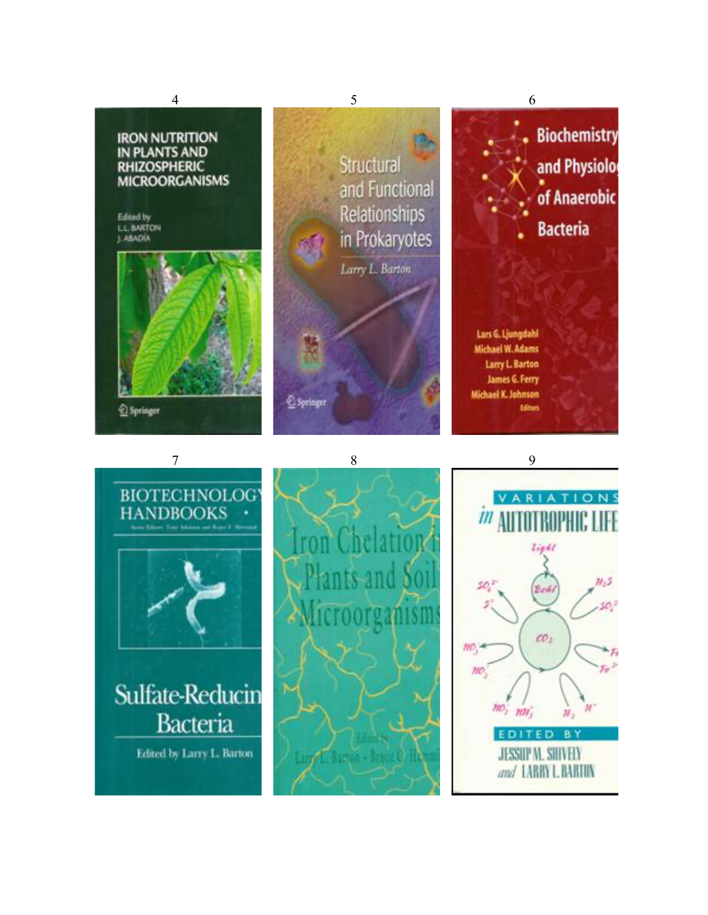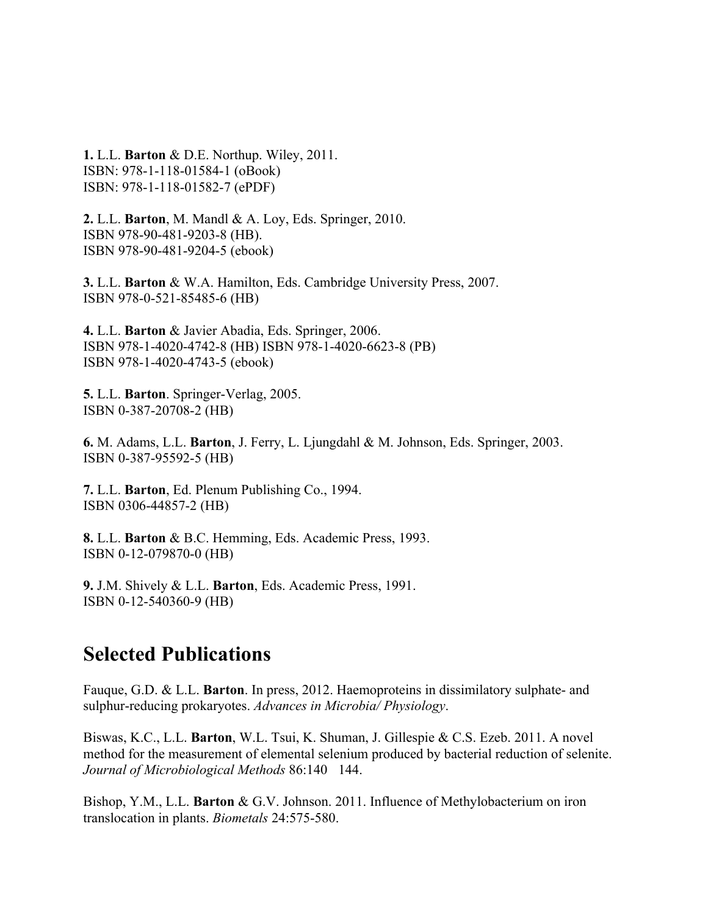**1.** L.L. **Barton** & D.E. Northup. Wiley, 2011. ISBN: 978-1-118-01584-1 (oBook) ISBN: 978-1-118-01582-7 (ePDF)

**2.** L.L. **Barton**, M. Mandl & A. Loy, Eds. Springer, 2010. ISBN 978-90-481-9203-8 (HB). ISBN 978-90-481-9204-5 (ebook)

**3.** L.L. **Barton** & W.A. Hamilton, Eds. Cambridge University Press, 2007. ISBN 978-0-521-85485-6 (HB)

**4.** L.L. **Barton** & Javier Abadia, Eds. Springer, 2006. ISBN 978-1-4020-4742-8 (HB) ISBN 978-1-4020-6623-8 (PB) ISBN 978-1-4020-4743-5 (ebook)

**5.** L.L. **Barton**. Springer-Verlag, 2005. ISBN 0-387-20708-2 (HB)

**6.** M. Adams, L.L. **Barton**, J. Ferry, L. Ljungdahl & M. Johnson, Eds. Springer, 2003. ISBN 0-387-95592-5 (HB)

**7.** L.L. **Barton**, Ed. Plenum Publishing Co., 1994. ISBN 0306-44857-2 (HB)

**8.** L.L. **Barton** & B.C. Hemming, Eds. Academic Press, 1993. ISBN 0-12-079870-0 (HB)

**9.** J.M. Shively & L.L. **Barton**, Eds. Academic Press, 1991. ISBN 0-12-540360-9 (HB)

#### **Selected Publications**

Fauque, G.D. & L.L. **Barton**. In press, 2012. Haemoproteins in dissimilatory sulphate- and sulphur-reducing prokaryotes. *Advances in Microbia/ Physiology*.

Biswas, K.C., L.L. **Barton**, W.L. Tsui, K. Shuman, J. Gillespie & C.S. Ezeb. 2011. A novel method for the measurement of elemental selenium produced by bacterial reduction of selenite. *Journal of Microbiological Methods* 86:140 144.

Bishop, Y.M., L.L. **Barton** & G.V. Johnson. 2011. Influence of Methylobacterium on iron translocation in plants. *Biometals* 24:575-580.